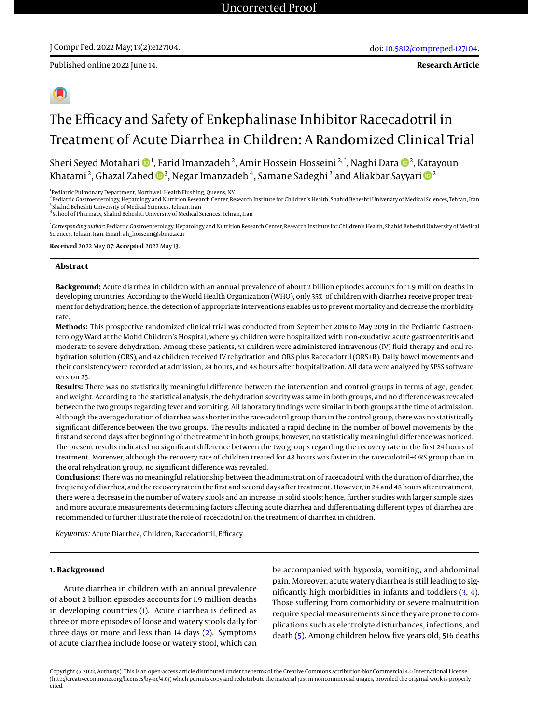Published online 2022 June 14.

**Research Article**

# The Efficacy and Safety of Enkephalinase Inhibitor Racecadotril in Treatment of Acute Diarrhea in Children: A Randomized Clinical Trial

Sheri Seyed Motahari ��4, Farid Imanzadeh  $^2$ , Amir Hossein Hosseini  $^{2, \ast}$ , Naghi Dara ��  $^2$ , Katayoun Khatami <sup>2</sup> , Ghazal Zahed <sup>3</sup> , Negar Imanzadeh<sup>4</sup> , Samane Sadeghi <sup>2</sup> and Aliakbar Sayyari <sup>2</sup>

<sup>1</sup> Pediatric Pulmonary Department, Northwell Health Flushing, Queens, NY

<sup>2</sup> Pediatric Gastroenterology, Hepatology and Nutrition Research Center, Research Institute for Children's Health, Shahid Beheshti University of Medical Sciences, Tehran, Iran <sup>3</sup> Shahid Beheshti University of Medical Sciences, Tehran, Iran

4 School of Pharmacy, Shahid Beheshti University of Medical Sciences, Tehran, Iran

\* *Corresponding author*: Pediatric Gastroenterology, Hepatology and Nutrition Research Center, Research Institute for Children's Health, Shahid Beheshti University of Medical Sciences, Tehran, Iran. Email: ah\_hosseini@sbmu.ac.ir

**Received** 2022 May 07; **Accepted** 2022 May 13.

#### **Abstract**

**Background:** Acute diarrhea in children with an annual prevalence of about 2 billion episodes accounts for 1.9 million deaths in developing countries. According to the World Health Organization (WHO), only 35% of children with diarrhea receive proper treatment for dehydration; hence, the detection of appropriate interventions enables us to prevent mortality and decrease the morbidity rate.

**Methods:** This prospective randomized clinical trial was conducted from September 2018 to May 2019 in the Pediatric Gastroenterology Ward at the Mofid Children's Hospital, where 95 children were hospitalized with non-exudative acute gastroenteritis and moderate to severe dehydration. Among these patients, 53 children were administered intravenous (IV) fluid therapy and oral rehydration solution (ORS), and 42 children received IV rehydration and ORS plus Racecadotril (ORS+R). Daily bowel movements and their consistency were recorded at admission, 24 hours, and 48 hours after hospitalization. All data were analyzed by SPSS software version 25.

**Results:** There was no statistically meaningful difference between the intervention and control groups in terms of age, gender, and weight. According to the statistical analysis, the dehydration severity was same in both groups, and no difference was revealed between the two groups regarding fever and vomiting. All laboratory findings were similar in both groups at the time of admission. Although the average duration of diarrhea was shorter in the racecadotril group than in the control group, there was no statistically significant difference between the two groups. The results indicated a rapid decline in the number of bowel movements by the first and second days after beginning of the treatment in both groups; however, no statistically meaningful difference was noticed. The present results indicated no significant difference between the two groups regarding the recovery rate in the first 24 hours of treatment. Moreover, although the recovery rate of children treated for 48 hours was faster in the racecadotril+ORS group than in the oral rehydration group, no significant difference was revealed.

**Conclusions:** There was no meaningful relationship between the administration of racecadotril with the duration of diarrhea, the frequency of diarrhea, and the recovery rate in the first and second days after treatment. However, in 24 and 48 hours after treatment, there were a decrease in the number of watery stools and an increase in solid stools; hence, further studies with larger sample sizes and more accurate measurements determining factors affecting acute diarrhea and differentiating different types of diarrhea are recommended to further illustrate the role of racecadotril on the treatment of diarrhea in children.

*Keywords:* Acute Diarrhea, Children, Racecadotril, Efficacy

### **1. Background**

Acute diarrhea in children with an annual prevalence of about 2 billion episodes accounts for 1.9 million deaths in developing countries [\(1\)](#page-7-0). Acute diarrhea is defined as three or more episodes of loose and watery stools daily for three days or more and less than 14 days [\(2\)](#page-7-1). Symptoms of acute diarrhea include loose or watery stool, which can be accompanied with hypoxia, vomiting, and abdominal pain. Moreover, acute watery diarrhea is still leading to significantly high morbidities in infants and toddlers [\(3,](#page-7-2) [4\)](#page-7-3). Those suffering from comorbidity or severe malnutrition require special measurements since they are prone to complications such as electrolyte disturbances, infections, and death [\(5\)](#page-7-4). Among children below five years old, 516 deaths

Copyright © 2022, Author(s). This is an open-access article distributed under the terms of the Creative Commons Attribution-NonCommercial 4.0 International License (http://creativecommons.org/licenses/by-nc/4.0/) which permits copy and redistribute the material just in noncommercial usages, provided the original work is properly cited.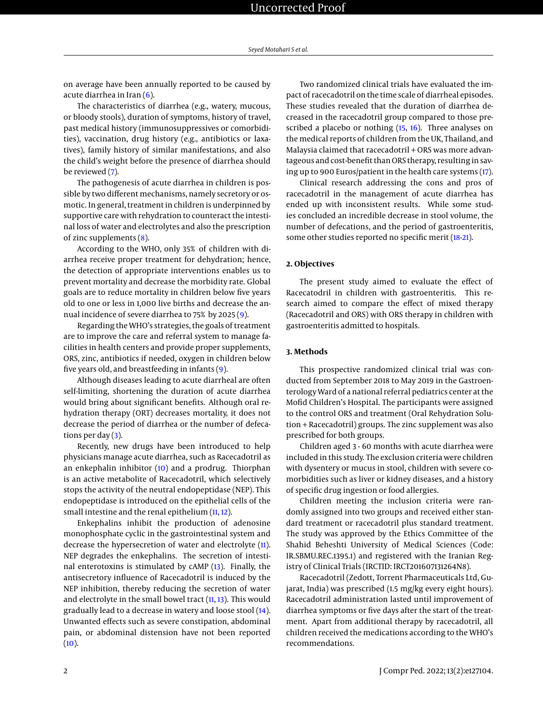on average have been annually reported to be caused by acute diarrhea in Iran  $(6)$ .

The characteristics of diarrhea (e.g., watery, mucous, or bloody stools), duration of symptoms, history of travel, past medical history (immunosuppressives or comorbidities), vaccination, drug history (e.g., antibiotics or laxatives), family history of similar manifestations, and also the child's weight before the presence of diarrhea should be reviewed [\(7\)](#page-7-6).

The pathogenesis of acute diarrhea in children is possible by two different mechanisms, namely secretory or osmotic. In general, treatment in children is underpinned by supportive care with rehydration to counteract the intestinal loss of water and electrolytes and also the prescription of zinc supplements [\(8\)](#page-7-7).

According to the WHO, only 35% of children with diarrhea receive proper treatment for dehydration; hence, the detection of appropriate interventions enables us to prevent mortality and decrease the morbidity rate. Global goals are to reduce mortality in children below five years old to one or less in 1,000 live births and decrease the annual incidence of severe diarrhea to 75% by 2025 [\(9\)](#page-8-0).

Regarding the WHO's strategies, the goals of treatment are to improve the care and referral system to manage facilities in health centers and provide proper supplements, ORS, zinc, antibiotics if needed, oxygen in children below five years old, and breastfeeding in infants [\(9\)](#page-8-0).

Although diseases leading to acute diarrheal are often self-limiting, shortening the duration of acute diarrhea would bring about significant benefits. Although oral rehydration therapy (ORT) decreases mortality, it does not decrease the period of diarrhea or the number of defecations per day  $(3)$ .

Recently, new drugs have been introduced to help physicians manage acute diarrhea, such as Racecadotril as an enkephalin inhibitor [\(10\)](#page-8-1) and a prodrug. Thiorphan is an active metabolite of Racecadotril, which selectively stops the activity of the neutral endopeptidase (NEP). This endopeptidase is introduced on the epithelial cells of the small intestine and the renal epithelium [\(11,](#page-8-2) [12\)](#page-8-3).

Enkephalins inhibit the production of adenosine monophosphate cyclic in the gastrointestinal system and decrease the hypersecretion of water and electrolyte [\(11\)](#page-8-2). NEP degrades the enkephalins. The secretion of intestinal enterotoxins is stimulated by cAMP [\(13\)](#page-8-4). Finally, the antisecretory influence of Racecadotril is induced by the NEP inhibition, thereby reducing the secretion of water and electrolyte in the small bowel tract  $(11, 13)$  $(11, 13)$  $(11, 13)$ . This would gradually lead to a decrease in watery and loose stool [\(14\)](#page-8-5). Unwanted effects such as severe constipation, abdominal pain, or abdominal distension have not been reported  $(10).$  $(10).$ 

Two randomized clinical trials have evaluated the impact of racecadotril on the time scale of diarrheal episodes. These studies revealed that the duration of diarrhea decreased in the racecadotril group compared to those pre-scribed a placebo or nothing [\(15,](#page-8-6) [16\)](#page-8-7). Three analyses on the medical reports of children from the UK, Thailand, and Malaysia claimed that racecadotril + ORS was more advantageous and cost-benefit than ORS therapy, resulting in saving up to 900 Euros/patient in the health care systems [\(17\)](#page-8-8).

Clinical research addressing the cons and pros of racecadotril in the management of acute diarrhea has ended up with inconsistent results. While some studies concluded an incredible decrease in stool volume, the number of defecations, and the period of gastroenteritis, some other studies reported no specific merit [\(18-](#page-8-9)[21\)](#page-8-10).

### **2. Objectives**

The present study aimed to evaluate the effect of Racecatodril in children with gastroenteritis. This research aimed to compare the effect of mixed therapy (Racecadotril and ORS) with ORS therapy in children with gastroenteritis admitted to hospitals.

### **3. Methods**

This prospective randomized clinical trial was conducted from September 2018 to May 2019 in the Gastroenterology Ward of a national referral pediatrics center at the Mofid Children's Hospital. The participants were assigned to the control ORS and treatment (Oral Rehydration Solution + Racecadotril) groups. The zinc supplement was also prescribed for both groups.

Children aged 3 - 60 months with acute diarrhea were included in this study. The exclusion criteria were children with dysentery or mucus in stool, children with severe comorbidities such as liver or kidney diseases, and a history of specific drug ingestion or food allergies.

Children meeting the inclusion criteria were randomly assigned into two groups and received either standard treatment or racecadotril plus standard treatment. The study was approved by the Ethics Committee of the Shahid Beheshti University of Medical Sciences (Code: IR.SBMU.REC.1395.1) and registered with the Iranian Registry of Clinical Trials (IRCTID: IRCT201607131264N8).

Racecadotril (Zedott, Torrent Pharmaceuticals Ltd, Gujarat, India) was prescribed (1.5 mg/kg every eight hours). Racecadotril administration lasted until improvement of diarrhea symptoms or five days after the start of the treatment. Apart from additional therapy by racecadotril, all children received the medications according to the WHO's recommendations.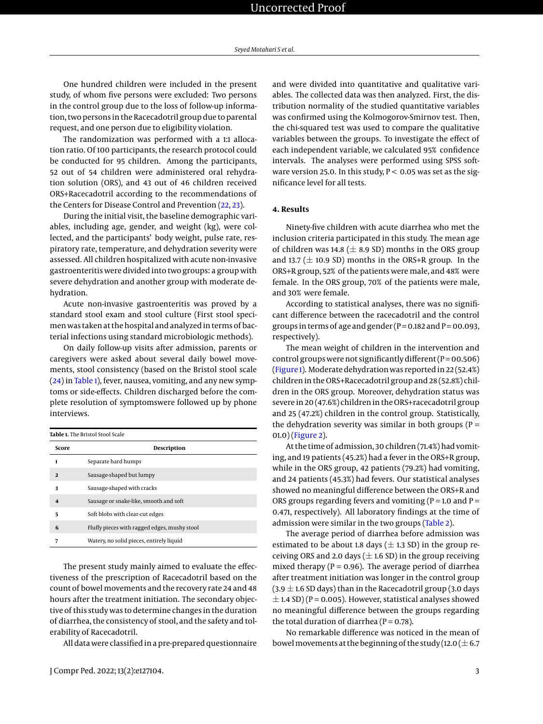One hundred children were included in the present study, of whom five persons were excluded: Two persons in the control group due to the loss of follow-up information, two persons in the Racecadotril group due to parental request, and one person due to eligibility violation.

The randomization was performed with a 1:1 allocation ratio. Of 100 participants, the research protocol could be conducted for 95 children. Among the participants, 52 out of 54 children were administered oral rehydration solution (ORS), and 43 out of 46 children received ORS+Racecadotril according to the recommendations of the Centers for Disease Control and Prevention [\(22,](#page-8-11) [23\)](#page-8-12).

During the initial visit, the baseline demographic variables, including age, gender, and weight (kg), were collected, and the participants' body weight, pulse rate, respiratory rate, temperature, and dehydration severity were assessed. All children hospitalized with acute non-invasive gastroenteritis were divided into two groups: a group with severe dehydration and another group with moderate dehydration.

Acute non-invasive gastroenteritis was proved by a standard stool exam and stool culture (First stool specimen was taken at the hospital and analyzed in terms of bacterial infections using standard microbiologic methods).

On daily follow-up visits after admission, parents or caregivers were asked about several daily bowel movements, stool consistency (based on the Bristol stool scale [\(24\)](#page-8-13) in [Table 1\)](#page-2-0), fever, nausea, vomiting, and any new symptoms or side-effects. Children discharged before the complete resolution of symptomswere followed up by phone interviews.

<span id="page-2-0"></span>**Table 1.** The Bristol Stool Scale

| Score                   | Description                                  |  |  |  |  |
|-------------------------|----------------------------------------------|--|--|--|--|
| 1                       | Separate hard humps                          |  |  |  |  |
| $\overline{2}$          | Sausage-shaped but lumpy                     |  |  |  |  |
| 3                       | Sausage-shaped with cracks                   |  |  |  |  |
| $\overline{\mathbf{A}}$ | Sausage or snake-like, smooth and soft       |  |  |  |  |
| 5                       | Soft blobs with clear-cut edges              |  |  |  |  |
| 6                       | Fluffy pieces with ragged edges, mushy stool |  |  |  |  |
| 7                       | Watery, no solid pieces, entirely liquid     |  |  |  |  |
|                         |                                              |  |  |  |  |

The present study mainly aimed to evaluate the effectiveness of the prescription of Racecadotril based on the count of bowel movements and the recovery rate 24 and 48 hours after the treatment initiation. The secondary objective of this study was to determine changes in the duration of diarrhea, the consistency of stool, and the safety and tolerability of Racecadotril.

All data were classified in a pre-prepared questionnaire

and were divided into quantitative and qualitative variables. The collected data was then analyzed. First, the distribution normality of the studied quantitative variables was confirmed using the Kolmogorov-Smirnov test. Then, the chi-squared test was used to compare the qualitative variables between the groups. To investigate the effect of each independent variable, we calculated 95% confidence intervals. The analyses were performed using SPSS software version 25.0. In this study,  $P < 0.05$  was set as the significance level for all tests.

### **4. Results**

Ninety-five children with acute diarrhea who met the inclusion criteria participated in this study. The mean age of children was 14.8 ( $\pm$  8.9 SD) months in the ORS group and 13.7 ( $\pm$  10.9 SD) months in the ORS+R group. In the ORS+R group, 52% of the patients were male, and 48% were female. In the ORS group, 70% of the patients were male, and 30% were female.

According to statistical analyses, there was no significant difference between the racecadotril and the control groups in terms of age and gender ( $P = 0.182$  and  $P = 00.093$ , respectively).

The mean weight of children in the intervention and control groups were not significantly different  $(P = 00.506)$ [\(Figure 1\)](#page-3-0). Moderate dehydration was reported in 22 (52.4%) children in the ORS+Racecadotril group and 28 (52.8%) children in the ORS group. Moreover, dehydration status was severe in 20 (47.6%) children in the ORS+racecadotril group and 25 (47.2%) children in the control group. Statistically, the dehydration severity was similar in both groups ( $P =$ 01.0) [\(Figure 2\)](#page-4-0).

At the time of admission, 30 children (71.4%) had vomiting, and 19 patients (45.2%) had a fever in the ORS+R group, while in the ORS group, 42 patients (79.2%) had vomiting, and 24 patients (45.3%) had fevers. Our statistical analyses showed no meaningful difference between the ORS+R and ORS groups regarding fevers and vomiting ( $P = 1.0$  and  $P =$ 0.471, respectively). All laboratory findings at the time of admission were similar in the two groups [\(Table 2\)](#page-3-1).

The average period of diarrhea before admission was estimated to be about 1.8 days ( $\pm$  1.3 SD) in the group receiving ORS and 2.0 days ( $\pm$  1.6 SD) in the group receiving mixed therapy ( $P = 0.96$ ). The average period of diarrhea after treatment initiation was longer in the control group (3.9  $\pm$  1.6 SD days) than in the Racecadotril group (3.0 days  $\pm$  1.4 SD) (P = 0.005). However, statistical analyses showed no meaningful difference between the groups regarding the total duration of diarrhea ( $P = 0.78$ ).

No remarkable difference was noticed in the mean of bowel movements at the beginning of the study (12.0 ( $\pm$  6.7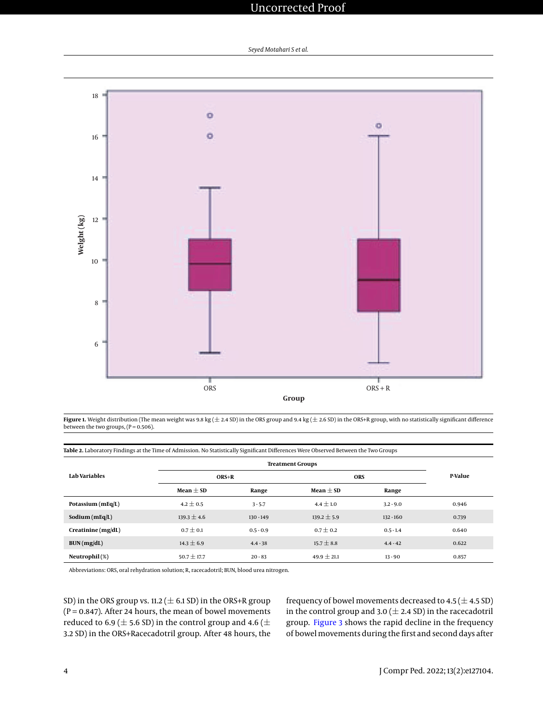<span id="page-3-0"></span>

Figure 1. Weight distribution (The mean weight was 9.8 kg ( $\pm$  2.4 SD) in the ORS group and 9.4 kg ( $\pm$  2.6 SD) in the ORS+R group, with no statistically significant difference between the two groups,  $(P = 0.506)$ .

<span id="page-3-1"></span>

|  |  | Table 2. Laboratory Findings at the Time of Admission. No Statistically Significant Differences Were Observed Between the Two Groups |
|--|--|--------------------------------------------------------------------------------------------------------------------------------------|
|  |  |                                                                                                                                      |

|                       | <b>Treatment Groups</b> |             |                 |             |         |
|-----------------------|-------------------------|-------------|-----------------|-------------|---------|
| Lab Variables         | ORS+R                   |             | <b>ORS</b>      |             | P-Value |
|                       | Mean $\pm$ SD           | Range       | Mean $\pm$ SD   | Range       |         |
| Potassium ( $mEq/L$ ) | $4.2 \pm 0.5$           | $3 - 5.7$   | $4.4 \pm 1.0$   | $3.2 - 9.0$ | 0.946   |
| Sodium $(mEq/L)$      | $139.3 \pm 4.6$         | $130 - 149$ | $139.2 \pm 5.9$ | $132 - 160$ | 0.739   |
| Creating (mg/dL)      | $0.7 \pm 0.1$           | $0.5 - 0.9$ | $0.7 \pm 0.2$   | $0.5 - 1.4$ | 0.640   |
| BUN(mg/dL)            | $14.3 \pm 6.9$          | $4.4 - 38$  | $15.7 \pm 8.8$  | $4.4 - 42$  | 0.622   |
| Neutrophil(%)         | $50.7 \pm 17.7$         | $20 - 83$   | $49.9 \pm 21.1$ | $13 - 90$   | 0.857   |

Abbreviations: ORS, oral rehydration solution; R, racecadotril; BUN, blood urea nitrogen.

SD) in the ORS group vs. 11.2 ( $\pm$  6.1 SD) in the ORS+R group ( $P = 0.847$ ). After 24 hours, the mean of bowel movements reduced to 6.9 ( $\pm$  5.6 SD) in the control group and 4.6 ( $\pm$ 3.2 SD) in the ORS+Racecadotril group. After 48 hours, the frequency of bowel movements decreased to  $4.5 (\pm 4.5 \text{ SD})$ in the control group and 3.0 ( $\pm$  2.4 SD) in the racecadotril group. [Figure 3](#page-5-0) shows the rapid decline in the frequency of bowel movements during the first and second days after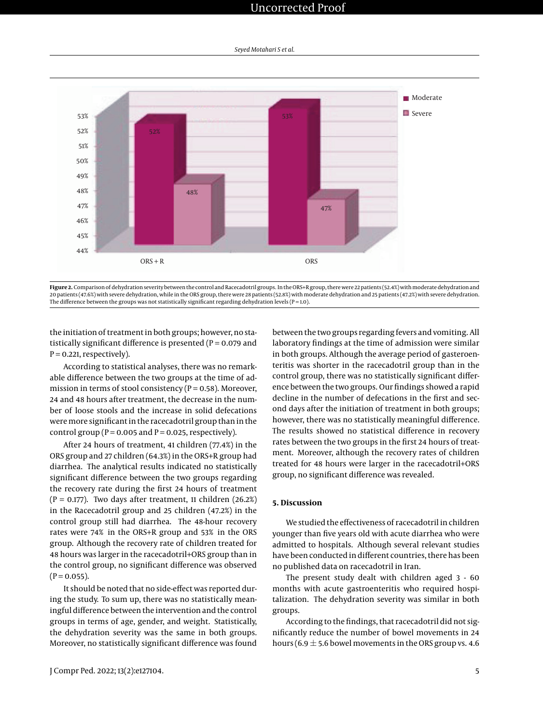<span id="page-4-0"></span>

Figure 2. Comparison of dehydration severity between the control and Racecadotril groups. In the ORS+R group, there were 22 patients (52.4%) with moderate dehydration and 20 patients (47.6%) with severe dehydration, while in the ORS group, there were 28 patients (52.8%) with moderate dehydration and 25 patients (47.2%) with severe dehydration. The difference between the groups was not statistically significant regarding dehydration levels ( $P = 1.0$ ).

the initiation of treatment in both groups; however, no statistically significant difference is presented ( $P = 0.079$  and  $P = 0.221$ , respectively).

According to statistical analyses, there was no remarkable difference between the two groups at the time of admission in terms of stool consistency ( $P = 0.58$ ). Moreover, 24 and 48 hours after treatment, the decrease in the number of loose stools and the increase in solid defecations were more significant in the racecadotril group than in the control group ( $P = 0.005$  and  $P = 0.025$ , respectively).

After 24 hours of treatment, 41 children (77.4%) in the ORS group and 27 children (64.3%) in the ORS+R group had diarrhea. The analytical results indicated no statistically significant difference between the two groups regarding the recovery rate during the first 24 hours of treatment  $(P = 0.177)$ . Two days after treatment, 11 children (26.2%) in the Racecadotril group and 25 children (47.2%) in the control group still had diarrhea. The 48-hour recovery rates were 74% in the ORS+R group and 53% in the ORS group. Although the recovery rate of children treated for 48 hours was larger in the racecadotril+ORS group than in the control group, no significant difference was observed  $(P = 0.055)$ .

It should be noted that no side-effect was reported during the study. To sum up, there was no statistically meaningful difference between the intervention and the control groups in terms of age, gender, and weight. Statistically, the dehydration severity was the same in both groups. Moreover, no statistically significant difference was found

between the two groups regarding fevers and vomiting. All laboratory findings at the time of admission were similar in both groups. Although the average period of gasteroenteritis was shorter in the racecadotril group than in the control group, there was no statistically significant difference between the two groups. Our findings showed a rapid decline in the number of defecations in the first and second days after the initiation of treatment in both groups; however, there was no statistically meaningful difference. The results showed no statistical difference in recovery rates between the two groups in the first 24 hours of treatment. Moreover, although the recovery rates of children treated for 48 hours were larger in the racecadotril+ORS group, no significant difference was revealed.

### **5. Discussion**

We studied the effectiveness of racecadotril in children younger than five years old with acute diarrhea who were admitted to hospitals. Although several relevant studies have been conducted in different countries, there has been no published data on racecadotril in Iran.

The present study dealt with children aged 3 - 60 months with acute gastroenteritis who required hospitalization. The dehydration severity was similar in both groups.

According to the findings, that racecadotril did not significantly reduce the number of bowel movements in 24 hours (6.9  $\pm$  5.6 bowel movements in the ORS group vs. 4.6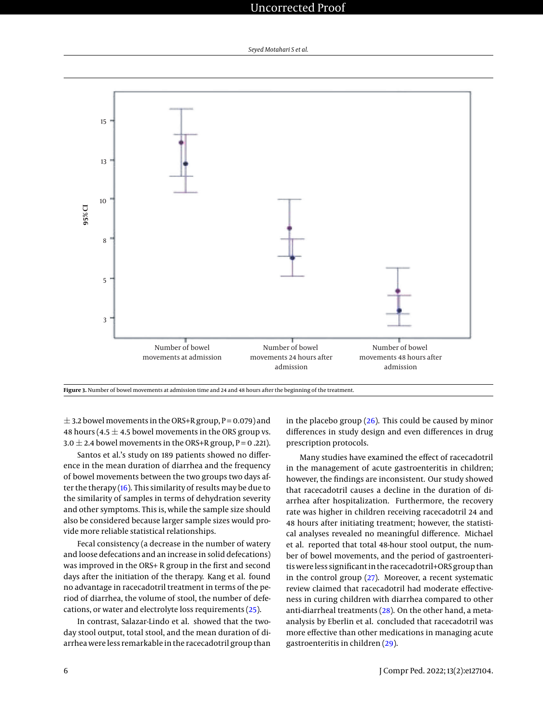<span id="page-5-0"></span>

**Figure 3.** Number of bowel movements at admission time and 24 and 48 hours after the beginning of the treatment.

 $\pm$  3.2 bowel movements in the ORS+R group, P = 0.079) and 48 hours (4.5  $\pm$  4.5 bowel movements in the ORS group vs. 3.0  $\pm$  2.4 bowel movements in the ORS+R group, P = 0.221).

Santos et al.'s study on 189 patients showed no difference in the mean duration of diarrhea and the frequency of bowel movements between the two groups two days after the therapy [\(16\)](#page-8-7). This similarity of results may be due to the similarity of samples in terms of dehydration severity and other symptoms. This is, while the sample size should also be considered because larger sample sizes would provide more reliable statistical relationships.

Fecal consistency (a decrease in the number of watery and loose defecations and an increase in solid defecations) was improved in the ORS+ R group in the first and second days after the initiation of the therapy. Kang et al. found no advantage in racecadotril treatment in terms of the period of diarrhea, the volume of stool, the number of defecations, or water and electrolyte loss requirements [\(25\)](#page-8-14).

In contrast, Salazar-Lindo et al. showed that the twoday stool output, total stool, and the mean duration of diarrhea were less remarkable in the racecadotril group than

in the placebo group  $(26)$ . This could be caused by minor differences in study design and even differences in drug prescription protocols.

Many studies have examined the effect of racecadotril in the management of acute gastroenteritis in children; however, the findings are inconsistent. Our study showed that racecadotril causes a decline in the duration of diarrhea after hospitalization. Furthermore, the recovery rate was higher in children receiving racecadotril 24 and 48 hours after initiating treatment; however, the statistical analyses revealed no meaningful difference. Michael et al. reported that total 48-hour stool output, the number of bowel movements, and the period of gastroenteritis were less significant in the racecadotril+ORS group than in the control group [\(27\)](#page-8-16). Moreover, a recent systematic review claimed that racecadotril had moderate effectiveness in curing children with diarrhea compared to other anti-diarrheal treatments [\(28\)](#page-8-17). On the other hand, a metaanalysis by Eberlin et al. concluded that racecadotril was more effective than other medications in managing acute gastroenteritis in children [\(29\)](#page-8-18).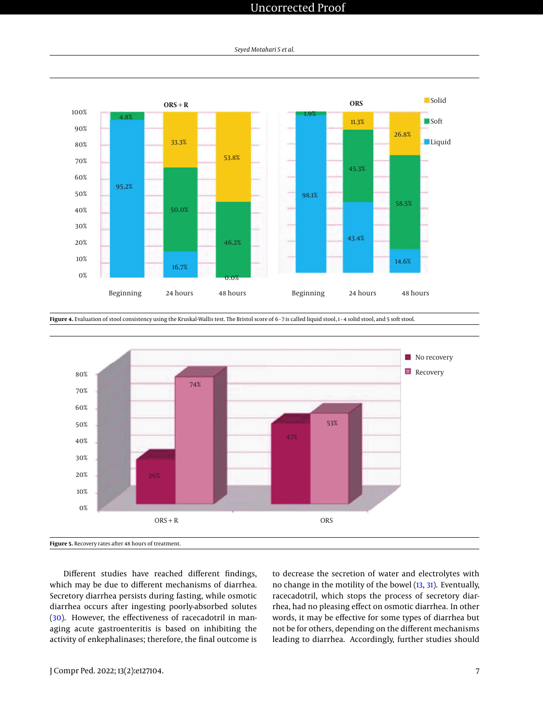*Seyed Motahari S et al.*



Figure 4. Evaluation of stool consistency using the Kruskal-Wallis test. The Bristol score of 6 - 7 is called liquid stool, 1 - 4 solid stool, and 5 soft stool.



Different studies have reached different findings, which may be due to different mechanisms of diarrhea. Secretory diarrhea persists during fasting, while osmotic diarrhea occurs after ingesting poorly-absorbed solutes [\(30\)](#page-8-19). However, the effectiveness of racecadotril in managing acute gastroenteritis is based on inhibiting the activity of enkephalinases; therefore, the final outcome is

to decrease the secretion of water and electrolytes with no change in the motility of the bowel [\(13,](#page-8-4) [31\)](#page-8-20). Eventually, racecadotril, which stops the process of secretory diarrhea, had no pleasing effect on osmotic diarrhea. In other words, it may be effective for some types of diarrhea but not be for others, depending on the different mechanisms leading to diarrhea. Accordingly, further studies should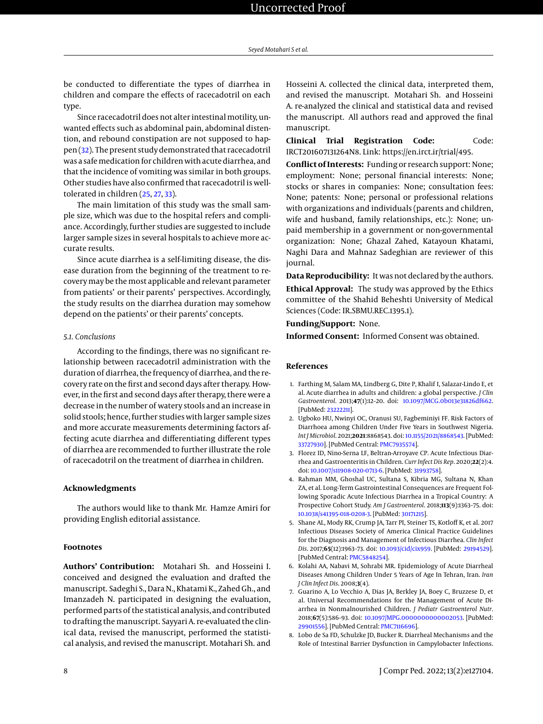be conducted to differentiate the types of diarrhea in children and compare the effects of racecadotril on each type.

Since racecadotril does not alter intestinal motility, unwanted effects such as abdominal pain, abdominal distention, and rebound constipation are not supposed to happen [\(32\)](#page-8-21). The present study demonstrated that racecadotril was a safe medication for children with acute diarrhea, and that the incidence of vomiting was similar in both groups. Other studies have also confirmed that racecadotril is welltolerated in children [\(25,](#page-8-14) [27,](#page-8-16) [33\)](#page-8-22).

The main limitation of this study was the small sample size, which was due to the hospital refers and compliance. Accordingly, further studies are suggested to include larger sample sizes in several hospitals to achieve more accurate results.

Since acute diarrhea is a self-limiting disease, the disease duration from the beginning of the treatment to recovery may be the most applicable and relevant parameter from patients' or their parents' perspectives. Accordingly, the study results on the diarrhea duration may somehow depend on the patients' or their parents' concepts.

#### *5.1. Conclusions*

According to the findings, there was no significant relationship between racecadotril administration with the duration of diarrhea, the frequency of diarrhea, and the recovery rate on the first and second days after therapy. However, in the first and second days after therapy, there were a decrease in the number of watery stools and an increase in solid stools; hence, further studies with larger sample sizes and more accurate measurements determining factors affecting acute diarrhea and differentiating different types of diarrhea are recommended to further illustrate the role of racecadotril on the treatment of diarrhea in children.

### **Acknowledgments**

The authors would like to thank Mr. Hamze Amiri for providing English editorial assistance.

#### **Footnotes**

**Authors' Contribution:** Motahari Sh. and Hosseini I. conceived and designed the evaluation and drafted the manuscript. Sadeghi S., Dara N., Khatami K., Zahed Gh., and Imanzadeh N. participated in designing the evaluation, performed parts of the statistical analysis, and contributed to drafting the manuscript. Sayyari A. re-evaluated the clinical data, revised the manuscript, performed the statistical analysis, and revised the manuscript. Motahari Sh. and Hosseini A. collected the clinical data, interpreted them, and revised the manuscript. Motahari Sh. and Hosseini A. re-analyzed the clinical and statistical data and revised the manuscript. All authors read and approved the final manuscript.

**Clinical Trial Registration Code:** Code: IRCT201607131264N8. Link: https://en.irct.ir/trial/495.

**Conflict of Interests:** Funding or research support: None; employment: None; personal financial interests: None; stocks or shares in companies: None; consultation fees: None; patents: None; personal or professional relations with organizations and individuals (parents and children, wife and husband, family relationships, etc.): None; unpaid membership in a government or non-governmental organization: None; Ghazal Zahed, Katayoun Khatami, Naghi Dara and Mahnaz Sadeghian are reviewer of this journal.

**Data Reproducibility:** It was not declared by the authors. **Ethical Approval:** The study was approved by the Ethics committee of the Shahid Beheshti University of Medical Sciences (Code: IR.SBMU.REC.1395.1).

**Funding/Support:** None.

**Informed Consent:** Informed Consent was obtained.

### **References**

- <span id="page-7-0"></span>1. Farthing M, Salam MA, Lindberg G, Dite P, Khalif I, Salazar-Lindo E, et al. Acute diarrhea in adults and children: a global perspective. *J Clin Gastroenterol*. 2013;**47**(1):12–20. doi: [10.1097/MCG.0b013e31826df662.](http://dx.doi.org/10.1097/MCG.0b013e31826df662) [PubMed: [23222211\]](http://www.ncbi.nlm.nih.gov/pubmed/23222211).
- <span id="page-7-1"></span>2. Ugboko HU, Nwinyi OC, Oranusi SU, Fagbeminiyi FF. Risk Factors of Diarrhoea among Children Under Five Years in Southwest Nigeria. *Int J Microbiol*. 2021;**2021**:8868543. doi: [10.1155/2021/8868543.](http://dx.doi.org/10.1155/2021/8868543) [PubMed: [33727930\]](http://www.ncbi.nlm.nih.gov/pubmed/33727930). [PubMed Central: [PMC7935574\]](https://www.ncbi.nlm.nih.gov/pmc/articles/PMC7935574).
- <span id="page-7-2"></span>3. Florez ID, Nino-Serna LF, Beltran-Arroyave CP. Acute Infectious Diarrhea and Gastroenteritis in Children. *Curr Infect Dis Rep*. 2020;**22**(2):4. doi: [10.1007/s11908-020-0713-6.](http://dx.doi.org/10.1007/s11908-020-0713-6) [PubMed: [31993758\]](http://www.ncbi.nlm.nih.gov/pubmed/31993758).
- <span id="page-7-3"></span>4. Rahman MM, Ghoshal UC, Sultana S, Kibria MG, Sultana N, Khan ZA, et al. Long-Term Gastrointestinal Consequences are Frequent Following Sporadic Acute Infectious Diarrhea in a Tropical Country: A Prospective Cohort Study. *Am J Gastroenterol*. 2018;**113**(9):1363–75. doi: [10.1038/s41395-018-0208-3.](http://dx.doi.org/10.1038/s41395-018-0208-3) [PubMed: [30171215\]](http://www.ncbi.nlm.nih.gov/pubmed/30171215).
- <span id="page-7-4"></span>5. Shane AL, Mody RK, Crump JA, Tarr PI, Steiner TS, Kotloff K, et al. 2017 Infectious Diseases Society of America Clinical Practice Guidelines for the Diagnosis and Management of Infectious Diarrhea. *Clin Infect Dis*. 2017;**65**(12):1963–73. doi: [10.1093/cid/cix959.](http://dx.doi.org/10.1093/cid/cix959) [PubMed: [29194529\]](http://www.ncbi.nlm.nih.gov/pubmed/29194529). [PubMed Central: [PMC5848254\]](https://www.ncbi.nlm.nih.gov/pmc/articles/PMC5848254).
- <span id="page-7-5"></span>6. Kolahi AA, Nabavi M, Sohrabi MR. Epidemiology of Acute Diarrheal Diseases Among Children Under 5 Years of Age In Tehran, Iran. *Iran J Clin Infect Dis*. 2008;**3**(4).
- <span id="page-7-6"></span>7. Guarino A, Lo Vecchio A, Dias JA, Berkley JA, Boey C, Bruzzese D, et al. Universal Recommendations for the Management of Acute Diarrhea in Nonmalnourished Children. *J Pediatr Gastroenterol Nutr*. 2018;**67**(5):586–93. doi: [10.1097/MPG.0000000000002053.](http://dx.doi.org/10.1097/MPG.0000000000002053) [PubMed: [29901556\]](http://www.ncbi.nlm.nih.gov/pubmed/29901556). [PubMed Central: [PMC7116696\]](https://www.ncbi.nlm.nih.gov/pmc/articles/PMC7116696).
- <span id="page-7-7"></span>8. Lobo de Sa FD, Schulzke JD, Bucker R. Diarrheal Mechanisms and the Role of Intestinal Barrier Dysfunction in Campylobacter Infections.